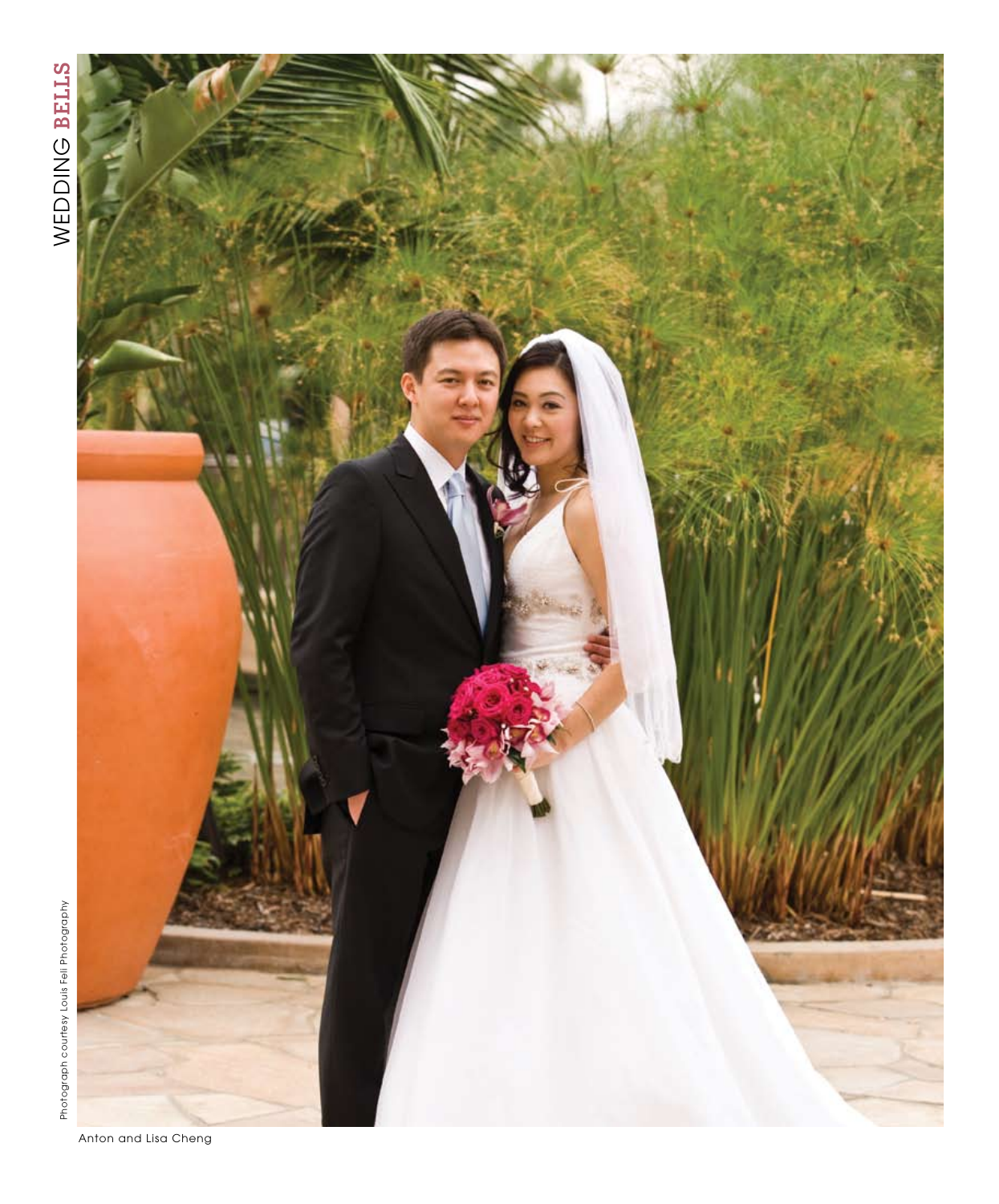

**134 C E L E B L I F E** S U M M E R 2 0 0 8 Anton and Lisa Cheng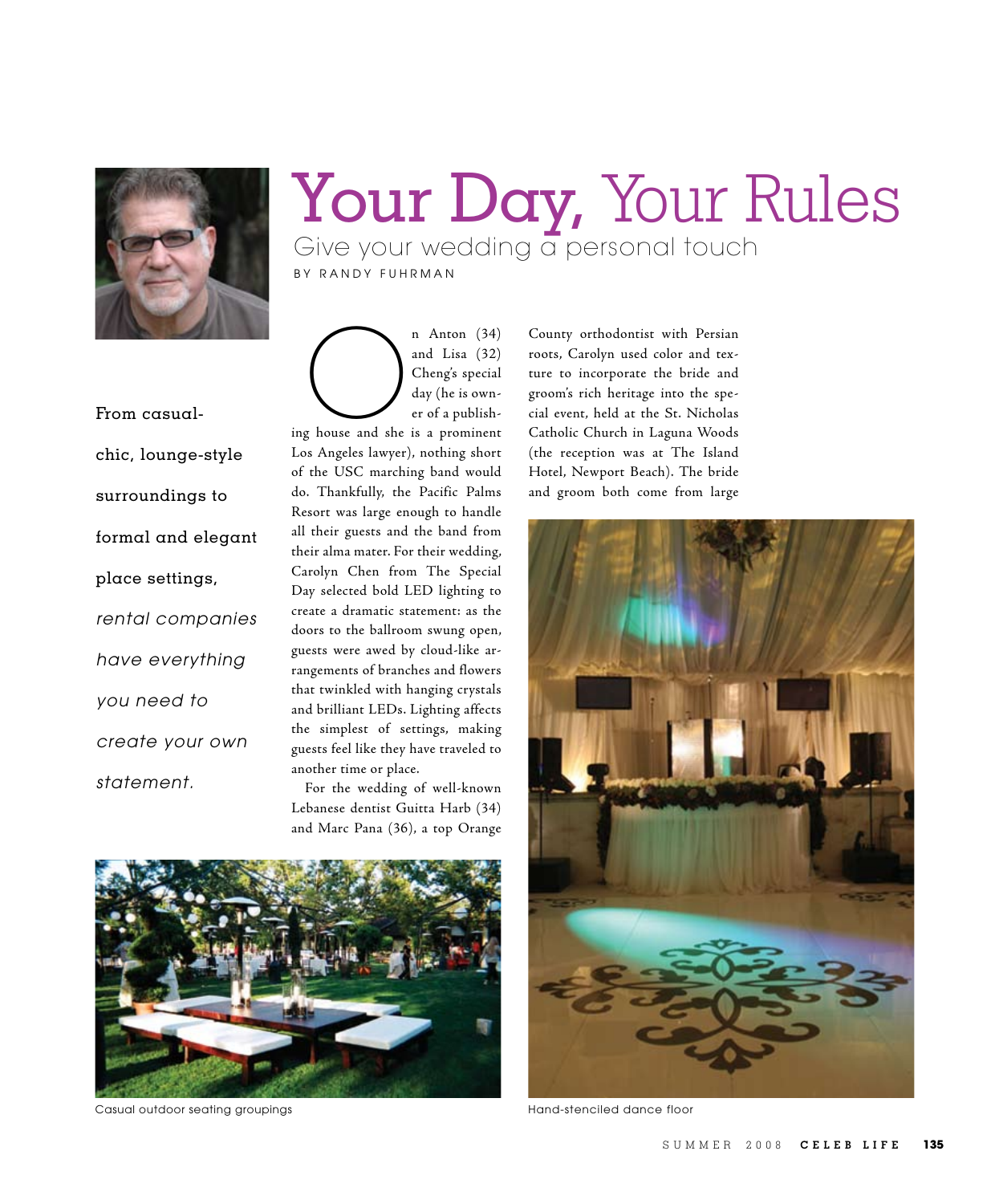

## Your Day, Your Rules Give your wedding a personal touch

BY RANDY FUHRMAN

From casualchic, lounge-style surroundings to formal and elegant place settings, rental companies have everything you need to create your own statement.

n Anton (34)<br>
and Lisa (32)<br>
Cheng's special<br>
day (he is own-<br>
er of a publish-<br>
er of a publishand Lisa (32) Cheng's special day (he is owner of a publish-Los Angeles lawyer), nothing short of the USC marching band would do. Thankfully, the Pacific Palms Resort was large enough to handle all their guests and the band from their alma mater. For their wedding, Carolyn Chen from The Special Day selected bold LED lighting to create a dramatic statement: as the doors to the ballroom swung open, guests were awed by cloud-like arrangements of branches and flowers that twinkled with hanging crystals and brilliant LEDs. Lighting affects the simplest of settings, making guests feel like they have traveled to another time or place.

For the wedding of well-known Lebanese dentist Guitta Harb (34) and Marc Pana (36), a top Orange



Casual outdoor seating groupings

County orthodontist with Persian roots, Carolyn used color and texture to incorporate the bride and groom's rich heritage into the special event, held at the St. Nicholas Catholic Church in Laguna Woods (the reception was at The Island Hotel, Newport Beach). The bride and groom both come from large



Hand-stenciled dance floor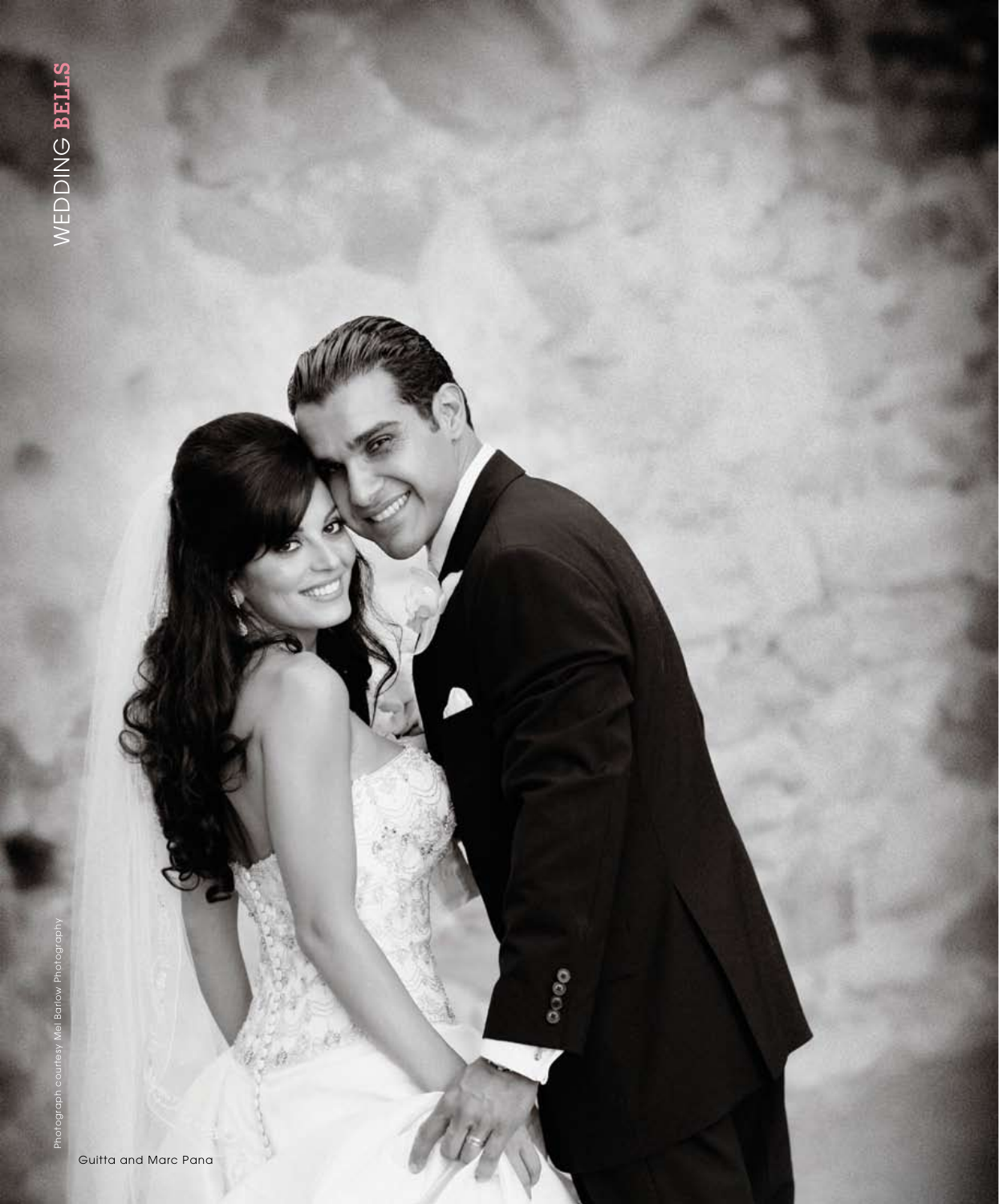